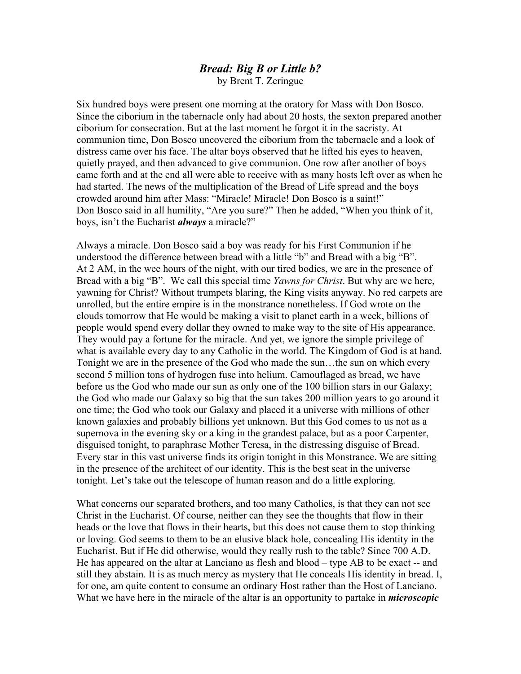## *Bread: Big B or Little b?* by Brent T. Zeringue

Six hundred boys were present one morning at the oratory for Mass with Don Bosco. Since the ciborium in the tabernacle only had about 20 hosts, the sexton prepared another ciborium for consecration. But at the last moment he forgot it in the sacristy. At communion time, Don Bosco uncovered the ciborium from the tabernacle and a look of distress came over his face. The altar boys observed that he lifted his eyes to heaven, quietly prayed, and then advanced to give communion. One row after another of boys came forth and at the end all were able to receive with as many hosts left over as when he had started. The news of the multiplication of the Bread of Life spread and the boys crowded around him after Mass: "Miracle! Miracle! Don Bosco is a saint!" Don Bosco said in all humility, "Are you sure?" Then he added, "When you think of it, boys, isn't the Eucharist *always* a miracle?"

Always a miracle. Don Bosco said a boy was ready for his First Communion if he understood the difference between bread with a little "b" and Bread with a big "B". At 2 AM, in the wee hours of the night, with our tired bodies, we are in the presence of Bread with a big "B". We call this special time *Yawns for Christ*. But why are we here, yawning for Christ? Without trumpets blaring, the King visits anyway. No red carpets are unrolled, but the entire empire is in the monstrance nonetheless. If God wrote on the clouds tomorrow that He would be making a visit to planet earth in a week, billions of people would spend every dollar they owned to make way to the site of His appearance. They would pay a fortune for the miracle. And yet, we ignore the simple privilege of what is available every day to any Catholic in the world. The Kingdom of God is at hand. Tonight we are in the presence of the God who made the sun…the sun on which every second 5 million tons of hydrogen fuse into helium. Camouflaged as bread, we have before us the God who made our sun as only one of the 100 billion stars in our Galaxy; the God who made our Galaxy so big that the sun takes 200 million years to go around it one time; the God who took our Galaxy and placed it a universe with millions of other known galaxies and probably billions yet unknown. But this God comes to us not as a supernova in the evening sky or a king in the grandest palace, but as a poor Carpenter, disguised tonight, to paraphrase Mother Teresa, in the distressing disguise of Bread. Every star in this vast universe finds its origin tonight in this Monstrance. We are sitting in the presence of the architect of our identity. This is the best seat in the universe tonight. Let's take out the telescope of human reason and do a little exploring.

What concerns our separated brothers, and too many Catholics, is that they can not see Christ in the Eucharist. Of course, neither can they see the thoughts that flow in their heads or the love that flows in their hearts, but this does not cause them to stop thinking or loving. God seems to them to be an elusive black hole, concealing His identity in the Eucharist. But if He did otherwise, would they really rush to the table? Since 700 A.D. He has appeared on the altar at Lanciano as flesh and blood – type AB to be exact -- and still they abstain. It is as much mercy as mystery that He conceals His identity in bread. I, for one, am quite content to consume an ordinary Host rather than the Host of Lanciano. What we have here in the miracle of the altar is an opportunity to partake in *microscopic*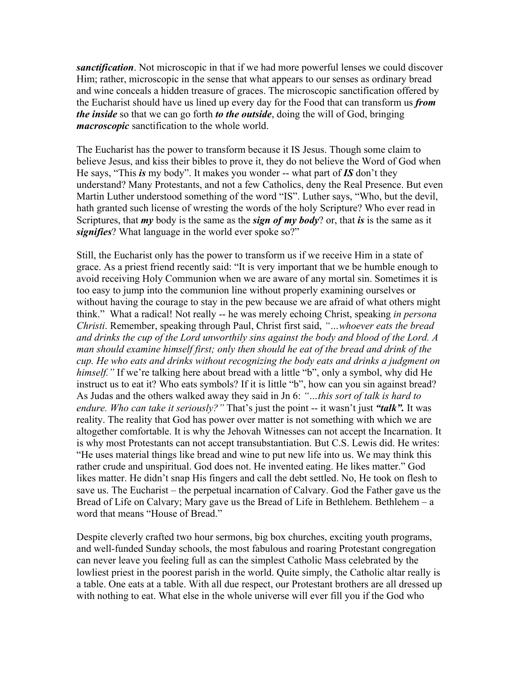*sanctification*. Not microscopic in that if we had more powerful lenses we could discover Him; rather, microscopic in the sense that what appears to our senses as ordinary bread and wine conceals a hidden treasure of graces. The microscopic sanctification offered by the Eucharist should have us lined up every day for the Food that can transform us *from the inside* so that we can go forth *to the outside*, doing the will of God, bringing *macroscopic* sanctification to the whole world.

The Eucharist has the power to transform because it IS Jesus. Though some claim to believe Jesus, and kiss their bibles to prove it, they do not believe the Word of God when He says, "This *is* my body". It makes you wonder -- what part of *IS* don't they understand? Many Protestants, and not a few Catholics, deny the Real Presence. But even Martin Luther understood something of the word "IS". Luther says, "Who, but the devil, hath granted such license of wresting the words of the holy Scripture? Who ever read in Scriptures, that *my* body is the same as the *sign of my body*? or, that *is* is the same as it *signifies*? What language in the world ever spoke so?"

Still, the Eucharist only has the power to transform us if we receive Him in a state of grace. As a priest friend recently said: "It is very important that we be humble enough to avoid receiving Holy Communion when we are aware of any mortal sin. Sometimes it is too easy to jump into the communion line without properly examining ourselves or without having the courage to stay in the pew because we are afraid of what others might think." What a radical! Not really -- he was merely echoing Christ, speaking *in persona Christi*. Remember, speaking through Paul, Christ first said, *"…whoever eats the bread and drinks the cup of the Lord unworthily sins against the body and blood of the Lord. A man should examine himself first; only then should he eat of the bread and drink of the cup. He who eats and drinks without recognizing the body eats and drinks a judgment on himself."* If we're talking here about bread with a little "b", only a symbol, why did He instruct us to eat it? Who eats symbols? If it is little "b", how can you sin against bread? As Judas and the others walked away they said in Jn 6: *"…this sort of talk is hard to endure. Who can take it seriously?"* That's just the point -- it wasn't just *"talk".* It was reality. The reality that God has power over matter is not something with which we are altogether comfortable. It is why the Jehovah Witnesses can not accept the Incarnation. It is why most Protestants can not accept transubstantiation. But C.S. Lewis did. He writes: "He uses material things like bread and wine to put new life into us. We may think this rather crude and unspiritual. God does not. He invented eating. He likes matter." God likes matter. He didn't snap His fingers and call the debt settled. No, He took on flesh to save us. The Eucharist – the perpetual incarnation of Calvary. God the Father gave us the Bread of Life on Calvary; Mary gave us the Bread of Life in Bethlehem. Bethlehem – a word that means "House of Bread."

Despite cleverly crafted two hour sermons, big box churches, exciting youth programs, and well-funded Sunday schools, the most fabulous and roaring Protestant congregation can never leave you feeling full as can the simplest Catholic Mass celebrated by the lowliest priest in the poorest parish in the world. Quite simply, the Catholic altar really is a table. One eats at a table. With all due respect, our Protestant brothers are all dressed up with nothing to eat. What else in the whole universe will ever fill you if the God who